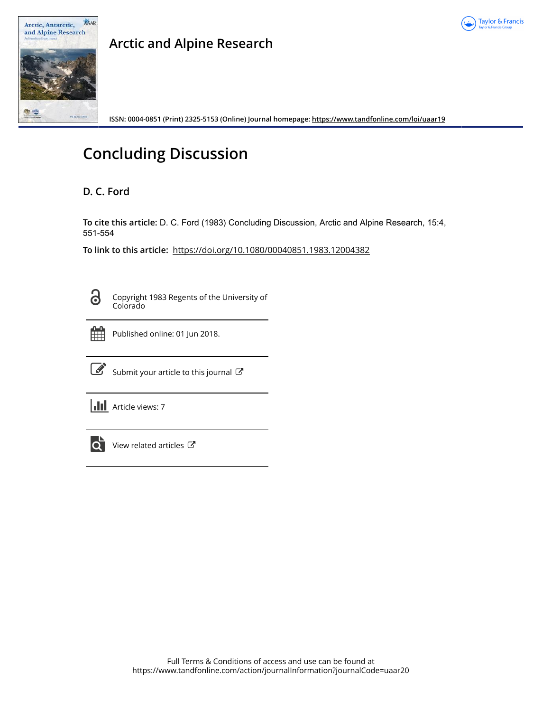



## **Arctic and Alpine Research**

**ISSN: 0004-0851 (Print) 2325-5153 (Online) Journal homepage:<https://www.tandfonline.com/loi/uaar19>**

# **Concluding Discussion**

## **D. C. Ford**

**To cite this article:** D. C. Ford (1983) Concluding Discussion, Arctic and Alpine Research, 15:4, 551-554

**To link to this article:** <https://doi.org/10.1080/00040851.1983.12004382>



Copyright 1983 Regents of the University of Colorado



Published online: 01 Jun 2018.



 $\overrightarrow{S}$  [Submit your article to this journal](https://www.tandfonline.com/action/authorSubmission?journalCode=uaar20&show=instructions)  $\overrightarrow{S}$ 

**III** Article views: 7



[View related articles](https://www.tandfonline.com/doi/mlt/10.1080/00040851.1983.12004382) C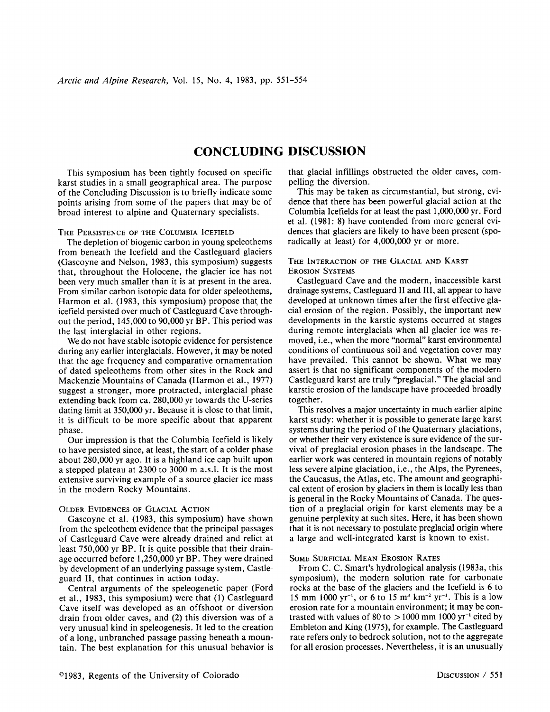### **CONCLUDING DISCUSSION**

This symposium has been tightly focused on specific karst studies in a small geographical area. The purpose of the Concluding Discussion is to briefly indicate some points arising from some of the papers that may be of broad interest to alpine and Quaternary specialists.

#### THE PERSISTENCE OF THE COLUMBIA ICEFIELD

The depletion of biogenic carbon in young speleothems from beneath the Icefield and the Castleguard glaciers (Gascoyne and Nelson, 1983, this symposium) suggests that, throughout the Holocene, the glacier ice has not been very much smaller than it is at present in the area. From similar carbon isotopic data for older speleothems, Harmon et al. (1983, this symposium) propose that the icefield persisted over much of Castleguard Cave throughout the period, 145,000 to 90,000 yr BP. This period was the last interglacial in other regions.

We do not have stable isotopic evidence for persistence during any earlier interglacials. However, it may be noted that the age frequency and comparative ornamentation of dated speleothems from other sites in the Rock and Mackenzie Mountains of Canada (Harmon et al., 1977) suggest a stronger, more protracted, interglacial phase extending back from ca. 280,000 yr towards the U-series dating limit at 350,000 yr. Because it is close to that limit, it is difficult to be more specific about that apparent phase.

Our impression is that the Columbia Icefield is likely to have persisted since, at least, the start of a colder phase about 280,000 yr ago. It is a highland ice cap built upon a stepped plateau at 2300 to 3000 m a.s.!. It is the most extensive surviving example of a source glacier ice mass in the modern Rocky Mountains.

#### OLDER EVIDENCES OF GLACIAL ACTION

Gascoyne et al. (1983, this symposium) have shown from the speleothem evidence that the principal passages of Castleguard Cave were already drained and relict at least 750,000 yr BP. It is quite possible that their drainage occurred before 1,250,000 yr BP. They were drained by development of an underlying passage system, Castleguard **II,** that continues in action today.

Central arguments of the speleogenetic paper (Ford et al., 1983, this symposium) were that (1) Castleguard Cave itself was developed as an offshoot or diversion drain from older caves, and (2) this diversion was of a very unusual kind in speleogenesis. It led to the creation of a long, unbranched passage passing beneath a mountain. The best explanation for this unusual behavior is that glacial infillings obstructed the older caves, compelling the diversion.

This may be taken as circumstantial, but strong, evidence that there has been powerful glacial action at the Columbia Icefields for at least the past 1,000,000 yr. Ford et al. (1981: 8) have contended from more general evidences that glaciers are likely to have been present (sporadically at least) for 4,000,000 yr or more.

#### THE INTERACTION OF THE GLACIAL AND KARST EROSION SYSTEMS

Castleguard Cave and the modern, inaccessible karst drainage systems, Castleguard II and **III,** all appear to have developed at unknown times after the first effective glacial erosion of the region. Possibly, the important new developments in the karstic systems occurred at stages during remote interglacials when all glacier ice was removed, i.e., when the more "normal" karst environmental conditions of continuous soil and vegetation cover may have prevailed. This cannot be shown. What we may assert is that no significant components of the modern Castleguard karst are truly "preglacial." The glacial and karstic erosion of the landscape have proceeded broadly together.

This resolves a major uncertainty in much earlier alpine karst study: whether it is possible to generate large karst systems during the period of the Quaternary glaciations, or whether their very existence is sure evidence of the survival of preglacial erosion phases in the landscape. The earlier work was centered in mountain regions of notably less severe alpine glaciation, i.e., the Alps, the Pyrenees, the Caucasus, the Atlas, etc. The amount and geographical extent of erosion by glaciers in them is locally less than is general in the Rocky Mountains of Canada. The question of a preglacial origin for karst elements may be a genuine perplexity at such sites. Here, it has been shown that it is not necessary to postulate preglacial origin where a large and well-integrated karst is known to exist.

#### SOME SURFICIAL MEAN EROSION RATES

From C. C. Smart's hydrological analysis (1983a, this symposium), the modern solution rate for carbonate rocks at the base of the glaciers and the Icefield is 6 to 15 mm 1000 yr<sup>-1</sup>, or 6 to 15 m<sup>3</sup> km<sup>-2</sup> yr<sup>-1</sup>. This is a low erosion rate for a mountain environment; it may be contrasted with values of 80 to  $>$  1000 mm 1000 yr<sup>-1</sup> cited by Embleton and King (1975), for example. The Castleguard rate refers only to bedrock solution, not to the aggregate for all erosion processes. Nevertheless, it is an unusually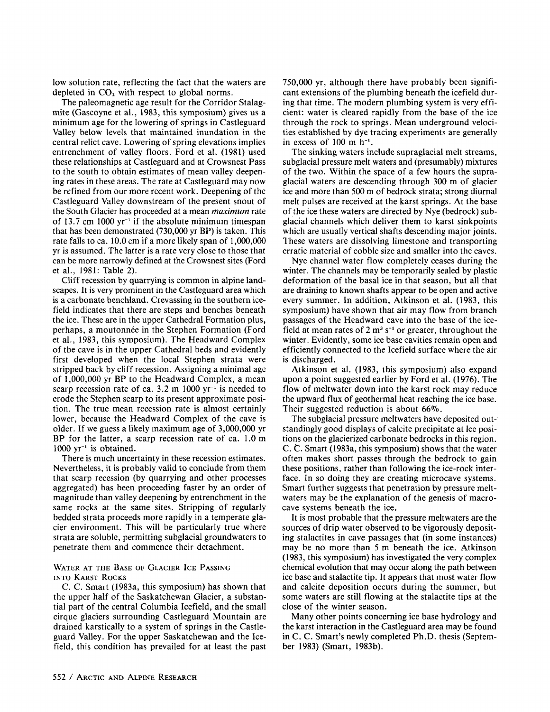low solution rate, reflecting the fact that the waters are depleted in  $CO<sub>2</sub>$  with respect to global norms.

The paleomagnetic age result for the Corridor Stalagmite (Gascoyne et al., 1983, this symposium) gives us a minimum age for the lowering of springs in Castleguard Valley below levels that maintained inundation in the central relict cave. Lowering of spring elevations implies entrenchment of valley floors. Ford et al. (1981) used these relationships at Castleguard and at Crowsnest Pass to the south to obtain estimates of mean valley deepening rates in these areas. The rate at Castleguard may now be refined from our more recent work. Deepening of the Castleguard Valley downstream of the present snout of the South Glacier has proceeded at a mean *maximum* rate of 13.7 cm 1000  $yr^{-1}$  if the absolute minimum timespan that has been demonstrated (730,000yr BP) is taken. This rate falls to ca. 10.0 em if a more likely span of 1,000,000 yr is assumed. The latter is a rate very close to those that can be more narrowly defined at the Crowsnest sites (Ford et aI., 1981: Table 2).

Cliff recession by quarrying is common in alpine landscapes. It is very prominent in the Castleguard area which is a carbonate benchland. Crevassing in the southern icefield indicates that there are steps and benches beneath the ice. These are in the upper Cathedral Formation plus, perhaps, a moutonnee in the Stephen Formation (Ford et aI., 1983, this symposium). The Headward Complex of the cave is in the upper Cathedral beds and evidently first developed when the local Stephen strata were stripped back by cliff recession. Assigning a minimal age of 1,000,000 yr BP to the Headward Complex, a mean scarp recession rate of ca.  $3.2 \text{ m}$  1000 yr<sup>-1</sup> is needed to erode the Stephen scarp to its present approximate position. The true mean recession rate is almost certainly lower, because the Headward Complex of the cave is older. If we guess a likely maximum age of 3,000,000 yr BP for the latter, a scarp recession rate of ca. 1.0 m  $1000 \text{ yr}^{-1}$  is obtained.

There is much uncertainty in these recession estimates. Nevertheless, it is probably valid to conclude from them that scarp recession (by quarrying and other processes aggregated) has been proceeding faster by an order of magnitude than valley deepening by entrenchment in the same rocks at the same sites. Stripping of regularly bedded strata proceeds more rapidly in a temperate glacier environment. This will be particularly true where strata are soluble, permitting subglacial groundwaters to penetrate them and commence their detachment.

#### WATER AT THE BASE OF GLACIER ICE PASSING INTO KARST ROCKS

C. C. Smart (1983a, this symposium) has shown that the upper half of the Saskatchewan Glacier, a substantial part of the central Columbia Icefield, and the small cirque glaciers surrounding Castleguard Mountain are drained karstically to a system of springs in the Castleguard Valley. For the upper Saskatchewan and the Icefield, this condition has prevailed for at least the past 750,000 yr, although there have probably been significant extensions of the plumbing beneath the icefield during that time. The modern plumbing system is very efficient: water is cleared rapidly from the base of the ice through the rock to springs. Mean underground velocities established by dye tracing experiments are generally in excess of  $100$  m  $h^{-1}$ .

The sinking waters include supraglacial melt streams, subglacial pressure melt waters and (presumably) mixtures of the two. Within the space of a few hours the supraglacial waters are descending through 300 m of glacier ice and more than 500 m of bedrock strata; strong diurnal melt pulses are received at the karst springs. At the base of the ice these waters are directed by Nye (bedrock) subglacial channels which deliver them to karst sinkpoints which are usually vertical shafts descending major joints. These waters are dissolving limestone and transporting erratic material of cobble size and smaller into the caves.

Nye channel water flow completely ceases during the winter. The channels may be temporarily sealed by plastic deformation of the basal ice in that season, but all that are draining to known shafts appear to be open and active every summer. In addition, Atkinson et al. (1983, this symposium) have shown that air may flow from branch passages of the Headward cave into the base of the icefield at mean rates of  $2 \text{ m}^3 \text{ s}^{-1}$  or greater, throughout the winter. Evidently, some ice base cavities remain open and efficiently connected to the Icefield surface where the air is discharged.

Atkinson et al. (1983, this symposium) also expand upon a point suggested earlier by Ford et al. (1976). The flow of meltwater down into the karst rock may reduce the upward flux of geothermal heat reaching the ice base. Their suggested reduction is about  $66\%$ .

The subglacial pressure meltwaters have deposited outstandingly good displays of calcite precipitate at lee positions on the glacierized carbonate bedrocks in this region. C. c. Smart (1983a, this symposium) shows that the water often makes short passes through the bedrock to gain these positions, rather than following the ice-rock interface. In so doing they are creating microcave systems. Smart further suggests that penetration by pressure meltwaters may be the explanation of the genesis of macrocave systems beneath the ice.

lt is most probable that the pressure meltwaters are the sources of drip water observed to be vigorously depositing stalactites in cave passages that (in some instances) may be no more than 5 m beneath the ice. Atkinson (1983, this symposium) has investigated the very complex chemical evolution that may occur along the path between ice base and stalactite tip. lt appears that most water flow and calcite deposition occurs during the summer, but some waters are still flowing at the stalactite tips at the close of the winter season.

Many other points concerning ice base hydrology and the karst interaction in the Castleguard area may be found in C. C. Smart's newly completed Ph.D. thesis (September 1983) (Smart, 1983b).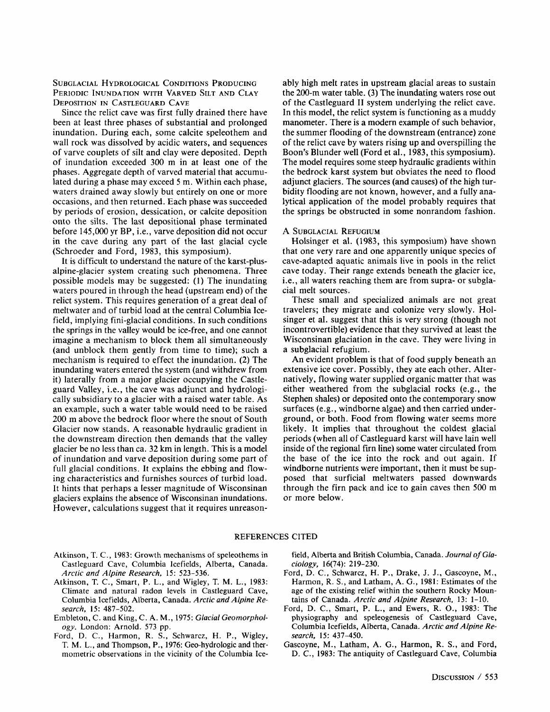SUBGLACIAL HYDROLOGICAL CONDITIONS PRODUCING PERIODIC INUNDATION WITH VARVED SILT AND CLAY DEPOSITION IN CASTLEGUARD CAVE

Since the relict cave was first fully drained there have been at least three phases of substantial and prolonged inundation. During each, some calcite speleothem and wall rock was dissolved by acidic waters, and sequences of varve couplets of silt and clay were deposited. Depth of inundation exceeded 300 m in at least one of the phases. Aggregate depth of varved material that accumulated during a phase may exceed 5 m. Within each phase, waters drained away slowly but entirely on one or more occasions, and then returned. Each phase was succeeded by periods of erosion, dessication, or calcite deposition onto the silts. The last depositional phase terminated before 145,000 yr BP, i.e., varve deposition did not occur in the cave during any part of the last glacial cycle (Schroeder and Ford, 1983, this symposium).

It is difficult to understand the nature of the karst-plusalpine-glacier system creating such phenomena. Three possible models may be suggested: (1) The inundating waters poured in through the head (upstream end) of the relict system. This requires generation of a great deal of meltwater and of turbid load at the central Columbia Icefield, implying fini-glacial conditions. In such conditions the springs in the valley would be ice-free, and one cannot imagine a mechanism to block them all simultaneously (and unblock them gently from time to time); such a mechanism is required to effect the inundation. (2) The inundating waters entered the system (and withdrew from it) laterally from a major glacier occupying the Castleguard Valley, i.e., the cave was adjunct and hydrologically subsidiary to a glacier with a raised water table. As an example, such a water table would need to be raised 200 m above the bedrock floor where the snout of South Glacier now stands. A reasonable hydraulic gradient in the downstream direction then demands that the valley glacier be no lessthan ca. 32 km in length. This is a model of inundation and varve deposition during some part of full glacial conditions. It explains the ebbing and flowing characteristics and furnishes sources of turbid load. It hints that perhaps a lesser magnitude of Wisconsinan glaciers explains the absence of Wisconsinan inundations. However, calculations suggest that it requires unreasonably high melt rates in upstream glacial areas to sustain the 200-m water table. (3) The inundating waters rose out of the CastIeguard II system underlying the relict cave. In this model, the relict system is functioning as a muddy manometer. There is a modern example of such behavior, the summer flooding of the downstream (entrance) zone of the relict cave by waters rising up and overspilling the Boon's Blunder well (Ford et al., 1983, this symposium). The model requires some steep hydraulic gradients within the bedrock karst system but obviates the need to flood adjunct glaciers. The sources (and causes) of the high turbidity flooding are not known, however, and a fully analytical application of the model probably requires that the springs be obstructed in some nonrandom fashion.

#### A SUBGLACIAL REFUGIUM

Holsinger et al. (1983, this symposium) have shown that one very rare and one apparently unique species of cave-adapted aquatic animals live in pools in the relict cave today. Their range extends beneath the glacier ice, i.e., all waters reaching them are from supra- or subglacial melt sources.

These small and specialized animals are not great travelers; they migrate and colonize very slowly. Holsinger et al. suggest that this is very strong (though not incontrovertible) evidence that they survived at least the Wisconsinan glaciation in the cave. They were living in a subglacial refugium.

An evident problem is that of food supply beneath an extensive ice cover. Possibly, they ate each other. Alternatively, flowing water supplied organic matter that was either weathered from the subglacial rocks (e.g., the Stephen shales) or deposited onto the contemporary snow surfaces (e.g., windborne algae) and then carried underground, or both. Food from flowing water seems more likely. It implies that throughout the coldest glacial periods (when all of Castleguard karst will have lain well inside of the regional firn line) some water circulated from the base of the ice into the rock and out again. If windborne nutrients were important, then it must be supposed that surficial meltwaters passed downwards through the firn pack and ice to gain caves then 500 m or more below.

#### REFERENCES CITED

- Atkinson, T. C., 1983: Growth mechanisms of speleothems in Castleguard Cave, Columbia Icefields, Alberta, Canada. *Arctic and Alpine Research,* 15: 523-536.
- Atkinson, T. C., Smart, P. L., and Wigley, T. M. L., 1983: Climate and natural radon levels in Castleguard Cave, Columbia lcefields, Alberta, Canada. *Arctic and Alpine Research,* 15: 487-502.
- Embleton, C. and King, C. A. M., 1975: *Glacial Geomorphology.* London: Arnold. 573 pp.
- Ford, D. c., Harmon, R. S., Schwarcz, H. P., Wigley, T. M. L., and Thompson, P., 1976: Geo-hydrologic and thermometric observations in the vicinity of the Columbia Ice-

field, Alberta and British Columbia, Canada. Journal of Gla*ciology,* 16(74): 219-230.

- Ford, D. C., Schwarcz, H. P., Drake, J. J., Gascoyne, M., Harmon, R. S., and Latham, A. G., 1981: Estimates of the age of the existing relief within the southern Rocky Mountains of Canada. *Arctic and Alpine Research,* 13: 1-10.
- Ford, D. C., Smart, P. L., and Ewers, R. 0., 1983: The physiography and speleogenesis of Castleguard Cave, Columbia Icefields, Alberta, Canada. *Arctic and Alpine Research,* 15: 437-450.
- Gascoyne, M., Latham, A. G., Harmon, R. S., and Ford, D. C., 1983: The antiquity of Castleguard Cave, Columbia